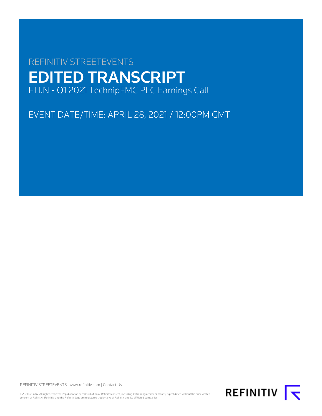# REFINITIV STREETEVENTS EDITED TRANSCRIPT FTI.N - Q1 2021 TechnipFMC PLC Earnings Call

EVENT DATE/TIME: APRIL 28, 2021 / 12:00PM GMT

REFINITIV STREETEVENTS | [www.refinitiv.com](https://www.refinitiv.com/) | [Contact Us](https://www.refinitiv.com/en/contact-us)

©2021 Refinitiv. All rights reserved. Republication or redistribution of Refinitiv content, including by framing or similar means, is prohibited without the prior written consent of Refinitiv. 'Refinitiv' and the Refinitiv logo are registered trademarks of Refinitiv and its affiliated companies.

REFINITIV **K**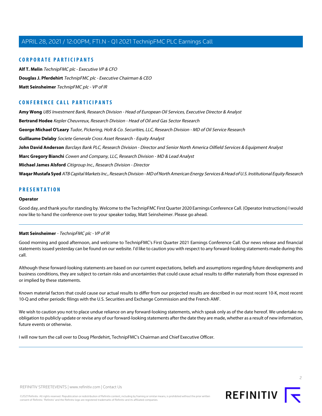# **CORPORATE PARTICIPANTS**

**[Alf T. Melin](#page-4-0)** TechnipFMC plc - Executive VP & CFO **[Douglas J. Pferdehirt](#page-2-0)** TechnipFMC plc - Executive Chairman & CEO **[Matt Seinsheimer](#page-1-0)** TechnipFMC plc - VP of IR

# **CONFERENCE CALL PARTICIPANTS**

**[Amy Wong](#page-9-0)** UBS Investment Bank, Research Division - Head of European Oil Services, Executive Director & Analyst **[Bertrand Hodee](#page-15-0)** Kepler Cheuvreux, Research Division - Head of Oil and Gas Sector Research **[George Michael O'Leary](#page-10-0)** Tudor, Pickering, Holt & Co. Securities, LLC, Research Division - MD of Oil Service Research **[Guillaume Delaby](#page-7-0)** Societe Generale Cross Asset Research - Equity Analyst **[John David Anderson](#page-6-0)** Barclays Bank PLC, Research Division - Director and Senior North America Oilfield Services & Equipment Analyst **[Marc Gregory Bianchi](#page-8-0)** Cowen and Company, LLC, Research Division - MD & Lead Analyst **[Michael James Alsford](#page-12-0)** Citigroup Inc., Research Division - Director **[Waqar Mustafa Syed](#page-13-0)** ATB Capital Markets Inc., Research Division - MD of North American Energy Services & Head of U.S. Institutional Equity Research

# **PRESENTATION**

#### **Operator**

<span id="page-1-0"></span>Good day, and thank you for standing by. Welcome to the TechnipFMC First Quarter 2020 Earnings Conference Call. (Operator Instructions) I would now like to hand the conference over to your speaker today, Matt Seinsheimer. Please go ahead.

# **Matt Seinsheimer** - TechnipFMC plc - VP of IR

Good morning and good afternoon, and welcome to TechnipFMC's First Quarter 2021 Earnings Conference Call. Our news release and financial statements issued yesterday can be found on our website. I'd like to caution you with respect to any forward-looking statements made during this call.

Although these forward-looking statements are based on our current expectations, beliefs and assumptions regarding future developments and business conditions, they are subject to certain risks and uncertainties that could cause actual results to differ materially from those expressed in or implied by these statements.

Known material factors that could cause our actual results to differ from our projected results are described in our most recent 10-K, most recent 10-Q and other periodic filings with the U.S. Securities and Exchange Commission and the French AMF.

We wish to caution you not to place undue reliance on any forward-looking statements, which speak only as of the date hereof. We undertake no obligation to publicly update or revise any of our forward-looking statements after the date they are made, whether as a result of new information, future events or otherwise.

I will now turn the call over to Doug Pferdehirt, TechnipFMC's Chairman and Chief Executive Officer.

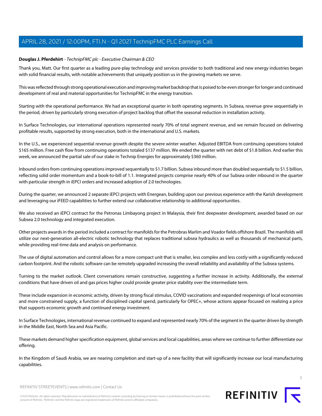# <span id="page-2-0"></span>**Douglas J. Pferdehirt** - TechnipFMC plc - Executive Chairman & CEO

Thank you, Matt. Our first quarter as a leading pure-play technology and services provider to both traditional and new energy industries began with solid financial results, with notable achievements that uniquely position us in the growing markets we serve.

This was reflected through strong operational execution and improving market backdrop that is poised to be even stronger for longer and continued development of real and material opportunities for TechnipFMC in the energy transition.

Starting with the operational performance. We had an exceptional quarter in both operating segments. In Subsea, revenue grew sequentially in the period, driven by particularly strong execution of project backlog that offset the seasonal reduction in installation activity.

In Surface Technologies, our international operations represented nearly 70% of total segment revenue, and we remain focused on delivering profitable results, supported by strong execution, both in the international and U.S. markets.

In the U.S., we experienced sequential revenue growth despite the severe winter weather. Adjusted EBITDA from continuing operations totaled \$165 million. Free cash flow from continuing operations totaled \$137 million. We ended the quarter with net debt of \$1.8 billion. And earlier this week, we announced the partial sale of our stake in Technip Energies for approximately \$360 million.

Inbound orders from continuing operations improved sequentially to \$1.7 billion. Subsea inbound more than doubled sequentially to \$1.5 billion, reflecting solid order momentum and a book-to-bill of 1.1. Integrated projects comprise nearly 40% of our Subsea order inbound in the quarter with particular strength in iEPCI orders and increased adoption of 2.0 technologies.

During the quarter, we announced 2 separate iEPCI projects with Energean, building upon our previous experience with the Karish development and leveraging our iFEED capabilities to further extend our collaborative relationship to additional opportunities.

We also received an iEPCI contract for the Petronas Limbayong project in Malaysia, their first deepwater development, awarded based on our Subsea 2.0 technology and integrated execution.

Other projects awards in the period included a contract for manifolds for the Petrobras Marlim and Voador fields offshore Brazil. The manifolds will utilize our next-generation all-electric robotic technology that replaces traditional subsea hydraulics as well as thousands of mechanical parts, while providing real-time data and analysis on performance.

The use of digital automation and control allows for a more compact unit that is smaller, less complex and less costly with a significantly reduced carbon footprint. And the robotic software can be remotely upgraded increasing the overall reliability and availability of the Subsea systems.

Turning to the market outlook. Client conversations remain constructive, suggesting a further increase in activity. Additionally, the external conditions that have driven oil and gas prices higher could provide greater price stability over the intermediate term.

These include expansion in economic activity, driven by strong fiscal stimulus, COVID vaccinations and expanded reopenings of local economies and more constrained supply, a function of disciplined capital spend, particularly for OPEC+, whose actions appear focused on realizing a price that supports economic growth and continued energy investment.

In Surface Technologies, international revenue continued to expand and represented nearly 70% of the segment in the quarter driven by strength in the Middle East, North Sea and Asia Pacific.

These markets demand higher specification equipment, global services and local capabilities, areas where we continue to further differentiate our offering.

In the Kingdom of Saudi Arabia, we are nearing completion and start-up of a new facility that will significantly increase our local manufacturing capabilities.



REFINITIV STREETEVENTS | [www.refinitiv.com](https://www.refinitiv.com/) | [Contact Us](https://www.refinitiv.com/en/contact-us)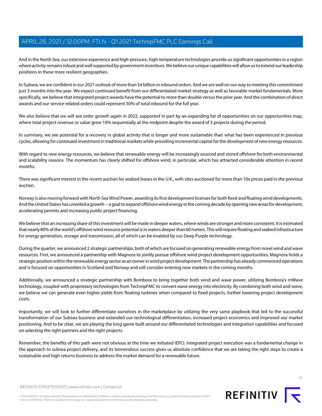And in the North Sea, our extensive experience and high-pressure, high-temperature technologies provide us significant opportunities in a region where activity remains robust and well supported by government incentives. We believe our unique capabilities will allow us to extend our leadership positions in these more resilient geographies.

In Subsea, we are confident in our 2021 outlook of more than \$4 billion in inbound orders. And we are well on our way to meeting this commitment just 3 months into the year. We expect continued benefit from our differentiated market strategy as well as favorable market fundamentals. More specifically, we believe that integrated project awards have the potential to more than double versus the prior year. And the combination of direct awards and our service-related orders could represent 50% of total inbound for the full year.

We also believe that we will see order growth again in 2022, supported in part by an expanding list of opportunities on our opportunities map, where total project revenue or value grew 10% sequentially at the midpoint despite the award of 3 projects during the period.

In summary, we see potential for a recovery in global activity that is longer and more sustainable than what has been experienced in previous cycles, allowing for continued investment in traditional markets while providing incremental capital for the development of new energy resources.

With regard to new energy resources, we believe that renewable energy will be increasingly sourced and stored offshore for both environmental and scalability reasons. The momentum has clearly shifted for offshore wind, in particular, which has attracted considerable attention in recent months.

There was significant interest in the recent auction for seabed leases in the U.K., with sites auctioned for more than 10x prices paid in the previous auction.

Norway is also moving forward with North Sea Wind Power, awarding its first development licenses for both fixed and floating wind developments. And the United States has unveiled a growth -- a goal to expand offshore wind energy in the coming decade by opening new areas for development, accelerating permits and increasing public project financing.

We believe that an increasing share of this investment will be made in deeper waters, where winds are stronger and more consistent. It is estimated that nearly 80% of the world's offshore wind resource potential is in waters deeper than 60 meters. This will require floating and seabed infrastructure for energy generation, storage and transmission, all of which can be enabled by our Deep Purple technology.

During the quarter, we announced 2 strategic partnerships, both of which are focused on generating renewable energy from novel wind and wave resources. First, we announced a partnership with Magnora to jointly pursue offshore wind project development opportunities. Magnora holds a strategic position within the renewable energy sector as an owner in wind project development. The partnership has already commenced operations and is focused on opportunities in Scotland and Norway and will consider entering new markets in the coming months.

Additionally, we announced a strategic partnership with Bombora to bring together both wind and wave power, utilizing Bombora's mWave technology, coupled with proprietary technologies from TechnipFMC to convert wave energy into electricity. By combining both wind and wave, we believe we can generate even higher yields from floating turbines when compared to fixed projects, further lowering project development costs.

Importantly, we will look to further differentiate ourselves in the marketplace by utilizing the very same playbook that led to the successful transformation of our Subsea business and extended our technological differentiation, increased project economics and improved our market positioning. And to be clear, we are playing the long game built around our differentiated technologies and integration capabilities and focused on selecting the right partners and the right projects.

Remember, the benefits of this path were not obvious at the time we initiated iEPCI. Integrated project execution was a fundamental change in the approach to subsea project delivery, and its tremendous success gives us absolute confidence that we are taking the right steps to create a sustainable and high returns business to address the market demand for a renewable future.

©2021 Refinitiv. All rights reserved. Republication or redistribution of Refinitiv content, including by framing or similar means, is prohibited without the prior written consent of Refinitiv. 'Refinitiv' and the Refinitiv logo are registered trademarks of Refinitiv and its affiliated companies.



REFINITIV **K**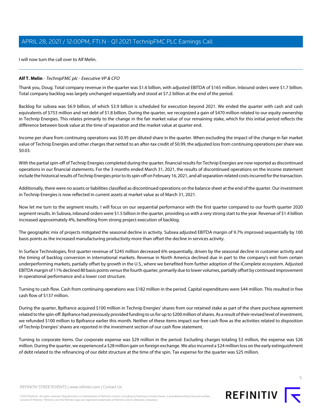I will now turn the call over to Alf Melin.

#### <span id="page-4-0"></span>**Alf T. Melin** - TechnipFMC plc - Executive VP & CFO

Thank you, Doug. Total company revenue in the quarter was \$1.6 billion, with adjusted EBITDA of \$165 million. Inbound orders were \$1.7 billion. Total company backlog was largely unchanged sequentially and stood at \$7.2 billion at the end of the period.

Backlog for subsea was \$6.9 billion, of which \$3.9 billion is scheduled for execution beyond 2021. We ended the quarter with cash and cash equivalents of \$753 million and net debt of \$1.8 billion. During the quarter, we recognized a gain of \$470 million related to our equity ownership in Technip Energies. This relates primarily to the change in the fair market value of our remaining stake, which for this initial period reflects the difference between book value at the time of separation and the market value at quarter end.

Income per share from continuing operations was \$0.95 per diluted share in the quarter. When excluding the impact of the change in fair market value of Technip Energies and other charges that netted to an after-tax credit of \$0.99, the adjusted loss from continuing operations per share was \$0.03.

With the partial spin-off of Technip Energies completed during the quarter, financial results for Technip Energies are now reported as discontinued operations in our financial statements. For the 3 months ended March 31, 2021, the results of discontinued operations on the income statement include the historical results of Technip Energies prior to its spin-off on February 16, 2021, and all separation-related costs incurred for the transaction.

Additionally, there were no assets or liabilities classified as discontinued operations on the balance sheet at the end of the quarter. Our investment in Technip Energies is now reflected in current assets at market value as of March 31, 2021.

Now let me turn to the segment results. I will focus on our sequential performance with the first quarter compared to our fourth quarter 2020 segment results. In Subsea, inbound orders were \$1.5 billion in the quarter, providing us with a very strong start to the year. Revenue of \$1.4 billion increased approximately 4%, benefiting from strong project execution of backlog.

The geographic mix of projects mitigated the seasonal decline in activity. Subsea adjusted EBITDA margin of 9.7% improved sequentially by 100 basis points as the increased manufacturing productivity more than offset the decline in services activity.

In Surface Technologies, first quarter revenue of \$245 million decreased 6% sequentially, driven by the seasonal decline in customer activity and the timing of backlog conversion in international markets. Revenue in North America declined due in part to the company's exit from certain underperforming markets, partially offset by growth in the U.S., where we benefited from further adoption of the iComplete ecosystem. Adjusted EBITDA margin of 11% declined 80 basis points versus the fourth quarter, primarily due to lower volumes, partially offset by continued improvement in operational performance and a lower cost structure.

Turning to cash flow. Cash from continuing operations was \$182 million in the period. Capital expenditures were \$44 million. This resulted in free cash flow of \$137 million.

During the quarter, Bpifrance acquired \$100 million in Technip Energies' shares from our retained stake as part of the share purchase agreement related to the spin-off. Bpifrance had previously provided funding to us for up to \$200 million of shares. As a result of their revised level of investment, we refunded \$100 million to Bpifrance earlier this month. Neither of these items impact our free cash flow as the activities related to disposition of Technip Energies' shares are reported in the investment section of our cash flow statement.

Turning to corporate items. Our corporate expense was \$29 million in the period. Excluding charges totaling \$3 million, the expense was \$26 million. During the quarter, we experienced a \$28 million gain on foreign exchange. We also incurred a \$24 million loss on the early extinguishment of debt related to the refinancing of our debt structure at the time of the spin. Tax expense for the quarter was \$25 million.

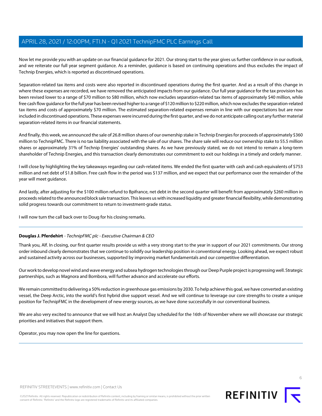Now let me provide you with an update on our financial guidance for 2021. Our strong start to the year gives us further confidence in our outlook, and we reiterate our full year segment guidance. As a reminder, guidance is based on continuing operations and thus excludes the impact of Technip Energies, which is reported as discontinued operations.

Separation-related tax items and costs were also reported in discontinued operations during the first quarter. And as a result of this change in where these expenses are recorded, we have removed the anticipated impacts from our guidance. Our full year guidance for the tax provision has been revised lower to a range of \$70 million to \$80 million, which now excludes separation-related tax items of approximately \$40 million, while free cash flow guidance for the full year has been revised higher to a range of \$120 million to \$220 million, which now excludes the separation-related tax items and costs of approximately \$70 million. The estimated separation-related expenses remain in line with our expectations but are now included in discontinued operations. These expenses were incurred during the first quarter, and we do not anticipate calling out any further material separation-related items in our financial statements.

And finally, this week, we announced the sale of 26.8 million shares of our ownership stake in Technip Energies for proceeds of approximately \$360 million to TechnipFMC. There is no tax liability associated with the sale of our shares. The share sale will reduce our ownership stake to 55.5 million shares or approximately 31% of Technip Energies' outstanding shares. As we have previously stated, we do not intend to remain a long-term shareholder of Technip Energies, and this transaction clearly demonstrates our commitment to exit our holdings in a timely and orderly manner.

I will close by highlighting the key takeaways regarding our cash-related items. We ended the first quarter with cash and cash equivalents of \$753 million and net debt of \$1.8 billion. Free cash flow in the period was \$137 million, and we expect that our performance over the remainder of the year will meet guidance.

And lastly, after adjusting for the \$100 million refund to Bpifrance, net debt in the second quarter will benefit from approximately \$260 million in proceeds related to the announced block sale transaction. This leaves us with increased liquidity and greater financial flexibility, while demonstrating solid progress towards our commitment to return to investment-grade status.

I will now turn the call back over to Doug for his closing remarks.

# **Douglas J. Pferdehirt** - TechnipFMC plc - Executive Chairman & CEO

Thank you, Alf. In closing, our first quarter results provide us with a very strong start to the year in support of our 2021 commitments. Our strong order inbound clearly demonstrates that we continue to solidify our leadership position in conventional energy. Looking ahead, we expect robust and sustained activity across our businesses, supported by improving market fundamentals and our competitive differentiation.

Our work to develop novel wind and wave energy and subsea hydrogen technologies through our Deep Purple project is progressing well. Strategic partnerships, such as Magnora and Bombora, will further advance and accelerate our efforts.

We remain committed to delivering a 50% reduction in greenhouse gas emissions by 2030. To help achieve this goal, we have converted an existing vessel, the Deep Arctic, into the world's first hybrid dive support vessel. And we will continue to leverage our core strengths to create a unique position for TechnipFMC in the development of new energy sources, as we have done successfully in our conventional business.

We are also very excited to announce that we will host an Analyst Day scheduled for the 16th of November where we will showcase our strategic priorities and initiatives that support them.

Operator, you may now open the line for questions.

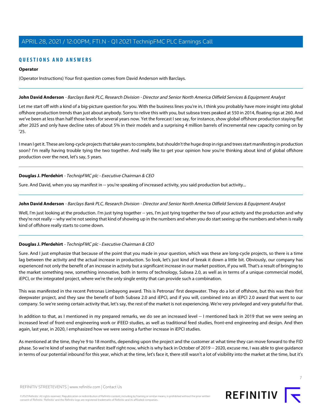# **QUESTIONS AND ANSWERS**

### **Operator**

(Operator Instructions) Your first question comes from David Anderson with Barclays.

#### <span id="page-6-0"></span>**John David Anderson** - Barclays Bank PLC, Research Division - Director and Senior North America Oilfield Services & Equipment Analyst

Let me start off with a kind of a big-picture question for you. With the business lines you're in, I think you probably have more insight into global offshore production trends than just about anybody. Sorry to relive this with you, but subsea trees peaked at 550 in 2014, floating rigs at 260. And we've been at less than half those levels for several years now. Yet the forecast I see say, for instance, show global offshore production staying flat after 2025 and only have decline rates of about 5% in their models and a surprising 4 million barrels of incremental new capacity coming on by '25.

I mean I get it. These are long-cycle projects that take years to complete, but shouldn't the huge drop in rigs and trees start manifesting in production soon? I'm really having trouble tying the two together. And really like to get your opinion how you're thinking about kind of global offshore production over the next, let's say, 5 years.

# **Douglas J. Pferdehirt** - TechnipFMC plc - Executive Chairman & CEO

Sure. And David, when you say manifest in -- you're speaking of increased activity, you said production but activity...

#### **John David Anderson** - Barclays Bank PLC, Research Division - Director and Senior North America Oilfield Services & Equipment Analyst

Well, I'm just looking at the production. I'm just tying together -- yes, I'm just tying together the two of your activity and the production and why they're not really -- why we're not seeing that kind of showing up in the numbers and when you do start seeing up the numbers and when is really kind of offshore really starts to come down.

# **Douglas J. Pferdehirt** - TechnipFMC plc - Executive Chairman & CEO

Sure. And I just emphasize that because of the point that you made in your question, which was these are long-cycle projects, so there is a time lag between the activity and the actual increase in production. So look, let's just kind of break it down a little bit. Obviously, our company has experienced not only the benefit of an increase in activity but a significant increase in our market position, if you will. That's a result of bringing to the market something new, something innovative, both in terms of technology, Subsea 2.0, as well as in terms of a unique commercial model, iEPCI, or the integrated project, where we're the only single entity that can provide such a combination.

This was manifested in the recent Petronas Limbayong award. This is Petronas' first deepwater. They do a lot of offshore, but this was their first deepwater project, and they saw the benefit of both Subsea 2.0 and iEPCI, and if you will, combined into an iEPCI 2.0 award that went to our company. So we're seeing certain activity that, let's say, the rest of the market is not experiencing. We're very privileged and very grateful for that.

In addition to that, as I mentioned in my prepared remarks, we do see an increased level -- I mentioned back in 2019 that we were seeing an increased level of front-end engineering work or iFEED studies, as well as traditional feed studies, front-end engineering and design. And then again, last year, in 2020, I emphasized how we were seeing a further increase in iEPCI studies.

As mentioned at the time, they're 9 to 18 months, depending upon the project and the customer at what time they can move forward to the FID phase. So we're kind of seeing that manifest itself right now, which is why back in October of 2019 -- 2020, excuse me, I was able to give guidance in terms of our potential inbound for this year, which at the time, let's face it, there still wasn't a lot of visibility into the market at the time, but it's

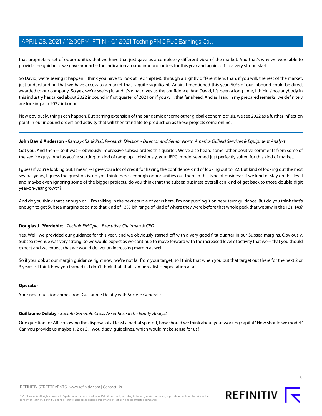that proprietary set of opportunities that we have that just gave us a completely different view of the market. And that's why we were able to provide the guidance we gave around -- the indication around inbound orders for this year and again, off to a very strong start.

So David, we're seeing it happen. I think you have to look at TechnipFMC through a slightly different lens than, if you will, the rest of the market, just understanding that we have access to a market that is quite significant. Again, I mentioned this year, 50% of our inbound could be direct awarded to our company. So yes, we're seeing it, and it's what gives us the confidence. And David, it's been a long time, I think, since anybody in this industry has talked about 2022 inbound in first quarter of 2021 or, if you will, that far ahead. And as I said in my prepared remarks, we definitely are looking at a 2022 inbound.

Now obviously, things can happen. But barring extension of the pandemic or some other global economic crisis, we see 2022 as a further inflection point in our inbound orders and activity that will then translate to production as those projects come online.

#### **John David Anderson** - Barclays Bank PLC, Research Division - Director and Senior North America Oilfield Services & Equipment Analyst

Got you. And then -- so it was -- obviously impressive subsea orders this quarter. We've also heard some rather positive comments from some of the service guys. And as you're starting to kind of ramp up -- obviously, your iEPCI model seemed just perfectly suited for this kind of market.

I guess if you're looking out, I mean, -- I give you a lot of credit for having the confidence kind of looking out to '22. But kind of looking out the next several years, I guess the question is, do you think there's enough opportunities out there in this type of business? If we kind of stay on this level and maybe even ignoring some of the bigger projects, do you think that the subsea business overall can kind of get back to those double-digit year-on-year growth?

And do you think that's enough or -- I'm talking in the next couple of years here. I'm not pushing it on near-term guidance. But do you think that's enough to get Subsea margins back into that kind of 13%-ish range of kind of where they were before that whole peak that we saw in the 13s, 14s?

# **Douglas J. Pferdehirt** - TechnipFMC plc - Executive Chairman & CEO

Yes. Well, we provided our guidance for this year, and we obviously started off with a very good first quarter in our Subsea margins. Obviously, Subsea revenue was very strong, so we would expect as we continue to move forward with the increased level of activity that we -- that you should expect and we expect that we would deliver an increasing margin as well.

So if you look at our margin guidance right now, we're not far from your target, so I think that when you put that target out there for the next 2 or 3 years is I think how you framed it, I don't think that, that's an unrealistic expectation at all.

# <span id="page-7-0"></span>**Operator**

Your next question comes from Guillaume Delaby with Societe Generale.

# **Guillaume Delaby** - Societe Generale Cross Asset Research - Equity Analyst

One question for Alf. Following the disposal of at least a partial spin-off, how should we think about your working capital? How should we model? Can you provide us maybe 1, 2 or 3, I would say, guidelines, which would make sense for us?

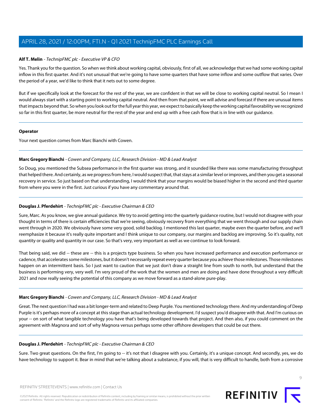# **Alf T. Melin** - TechnipFMC plc - Executive VP & CFO

Yes. Thank you for the question. So when we think about working capital, obviously, first of all, we acknowledge that we had some working capital inflow in this first quarter. And it's not unusual that we're going to have some quarters that have some inflow and some outflow that varies. Over the period of a year, we'd like to think that it nets out to some degree.

But if we specifically look at the forecast for the rest of the year, we are confident in that we will be close to working capital neutral. So I mean I would always start with a starting point to working capital neutral. And then from that point, we will advise and forecast if there are unusual items that impacts beyond that. So when you look out for the full year this year, we expect to basically keep the working capital favorability we recognized so far in this first quarter, be more neutral for the rest of the year and end up with a free cash flow that is in line with our guidance.

#### **Operator**

<span id="page-8-0"></span>Your next question comes from Marc Bianchi with Cowen.

# **Marc Gregory Bianchi** - Cowen and Company, LLC, Research Division - MD & Lead Analyst

So Doug, you mentioned the Subsea performance in the first quarter was strong, and it sounded like there was some manufacturing throughput that helped there. And certainly, as we progress from here, I would suspect that, that stays at a similar level or improves, and then you get a seasonal recovery in service. So just based on that understanding, I would think that your margins would be biased higher in the second and third quarter from where you were in the first. Just curious if you have any commentary around that.

# **Douglas J. Pferdehirt** - TechnipFMC plc - Executive Chairman & CEO

Sure, Marc. As you know, we give annual guidance. We try to avoid getting into the quarterly guidance routine, but I would not disagree with your thought in terms of there is certain efficiencies that we're seeing, obviously recovery from everything that we went through and our supply chain went through in 2020. We obviously have some very good, solid backlog. I mentioned this last quarter, maybe even the quarter before, and we'll reemphasize it because it's really quite important and I think unique to our company, our margins and backlog are improving. So it's quality, not quantity or quality and quantity in our case. So that's very, very important as well as we continue to look forward.

That being said, we did -- these are -- this is a projects type business. So when you have increased performance and execution performance or cadence, that accelerates some milestones, but it doesn't necessarily repeat every quarter because you achieve those milestones. Those milestones happen on an intermittent basis. So I just want to caution that we just don't draw a straight line from south to north, but understand that the business is performing very, very well. I'm very proud of the work that the women and men are doing and have done throughout a very difficult 2021 and now really seeing the potential of this company as we move forward as a stand-alone pure-play.

# **Marc Gregory Bianchi** - Cowen and Company, LLC, Research Division - MD & Lead Analyst

Great. The next question I had was a bit longer-term and related to Deep Purple. You mentioned technology there. And my understanding of Deep Purple is it's perhaps more of a concept at this stage than actual technology development. I'd suspect you'd disagree with that. And I'm curious on your -- on sort of what tangible technology you have that's being developed towards that project. And then also, if you could comment on the agreement with Magnora and sort of why Magnora versus perhaps some other offshore developers that could be out there.

# **Douglas J. Pferdehirt** - TechnipFMC plc - Executive Chairman & CEO

Sure. Two great questions. On the first, I'm going to -- it's not that I disagree with you. Certainly, it's a unique concept. And secondly, yes, we do have technology to support it. Bear in mind that we're talking about a substance, if you will, that is very difficult to handle, both from a corrosive

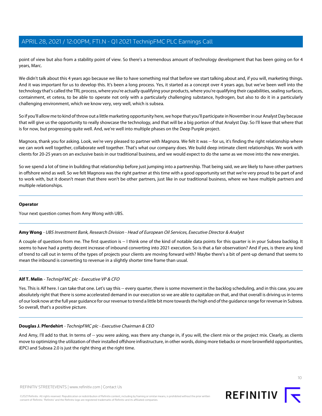point of view but also from a stability point of view. So there's a tremendous amount of technology development that has been going on for 4 years, Marc.

We didn't talk about this 4 years ago because we like to have something real that before we start talking about and, if you will, marketing things. And it was important for us to develop this. It's been a long process. Yes, it started as a concept over 4 years ago, but we've been well into the technology that's called the TRL process, where you're actually qualifying your products, where you're qualifying their capabilities, sealing surfaces, containment, et cetera, to be able to operate not only with a particularly challenging substance, hydrogen, but also to do it in a particularly challenging environment, which we know very, very well, which is subsea.

So if you'll allow me to kind of throw out a little marketing opportunity here, we hope that you'll participate in November in our Analyst Day because that will give us the opportunity to really showcase the technology, and that will be a big portion of that Analyst Day. So I'll leave that where that is for now, but progressing quite well. And, we're well into multiple phases on the Deep Purple project.

Magnora, thank you for asking. Look, we're very pleased to partner with Magnora. We felt it was -- for us, it's finding the right relationship where we can work well together, collaborate well together. That's what our company does. We build deep intimate client relationships. We work with clients for 20-25 years on an exclusive basis in our traditional business, and we would expect to do the same as we move into the new energies.

So we spend a lot of time in building that relationship before just jumping into a partnership. That being said, we are likely to have other partners in offshore wind as well. So we felt Magnora was the right partner at this time with a good opportunity set that we're very proud to be part of and to work with, but it doesn't mean that there won't be other partners, just like in our traditional business, where we have multiple partners and multiple relationships.

#### **Operator**

<span id="page-9-0"></span>Your next question comes from Amy Wong with UBS.

# **Amy Wong** - UBS Investment Bank, Research Division - Head of European Oil Services, Executive Director & Analyst

A couple of questions from me. The first question is -- I think one of the kind of notable data points for this quarter is in your Subsea backlog. It seems to have had a pretty decent increase of inbound converting into 2021 execution. So is that a fair observation? And if yes, is there any kind of trend to call out in terms of the types of projects your clients are moving forward with? Maybe there's a bit of pent-up demand that seems to mean the inbound is converting to revenue in a slightly shorter time frame than usual.

# **Alf T. Melin** - TechnipFMC plc - Executive VP & CFO

Yes. This is Alf here. I can take that one. Let's say this -- every quarter, there is some movement in the backlog scheduling, and in this case, you are absolutely right that there is some accelerated demand in our execution so we are able to capitalize on that, and that overall is driving us in terms of our look now at the full year guidance for our revenue to trend a little bit more towards the high end of the guidance range for revenue in Subsea. So overall, that's a positive picture.

#### **Douglas J. Pferdehirt** - TechnipFMC plc - Executive Chairman & CEO

And Amy, I'll add to that. In terms of -- you were asking, was there any change in, if you will, the client mix or the project mix. Clearly, as clients move to optimizing the utilization of their installed offshore infrastructure, in other words, doing more tiebacks or more brownfield opportunities, iEPCI and Subsea 2.0 is just the right thing at the right time.

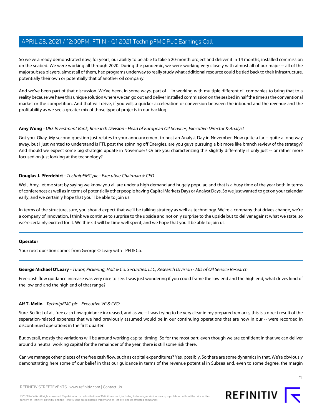So we've already demonstrated now, for years, our ability to be able to take a 20-month project and deliver it in 14 months, installed commission on the seabed. We were working all through 2020. During the pandemic, we were working very closely with almost all of our major -- all of the major subsea players, almost all of them, had programs underway to really study what additional resource could be tied back to their infrastructure, potentially their own or potentially that of another oil company.

And we've been part of that discussion. We've been, in some ways, part of -- in working with multiple different oil companies to bring that to a reality because we have this unique solution where we can go out and deliver installed commission on the seabed in half the time as the conventional market or the competition. And that will drive, if you will, a quicker acceleration or conversion between the inbound and the revenue and the profitability as we see a greater mix of those type of projects in our backlog.

# **Amy Wong** - UBS Investment Bank, Research Division - Head of European Oil Services, Executive Director & Analyst

Got you. Okay. My second question just relates to your announcement to host an Analyst Day in November. Now quite a far -- quite a long way away, but I just wanted to understand is FTI, post the spinning off Energies, are you guys pursuing a bit more like branch review of the strategy? And should we expect some big strategic update in November? Or are you characterizing this slightly differently is only just -- or rather more focused on just looking at the technology?

# **Douglas J. Pferdehirt** - TechnipFMC plc - Executive Chairman & CEO

Well, Amy, let me start by saying we know you all are under a high demand and hugely popular, and that is a busy time of the year both in terms of conferences as well as in terms of potentially other people having Capital Markets Days or Analyst Days. So we just wanted to get on your calendar early, and we certainly hope that you'll be able to join us.

In terms of the structure, sure, you should expect that we'll be talking strategy as well as technology. We're a company that drives change, we're a company of innovation. I think we continue to surprise to the upside and not only surprise to the upside but to deliver against what we state, so we're certainly excited for it. We think it will be time well spent, and we hope that you'll be able to join us.

#### <span id="page-10-0"></span>**Operator**

Your next question comes from George O'Leary with TPH & Co.

#### **George Michael O'Leary** - Tudor, Pickering, Holt & Co. Securities, LLC, Research Division - MD of Oil Service Research

Free cash flow guidance increase was very nice to see. I was just wondering if you could frame the low end and the high end, what drives kind of the low end and the high end of that range?

#### **Alf T. Melin** - TechnipFMC plc - Executive VP & CFO

Sure. So first of all, free cash flow quidance increased, and as we -- I was trying to be very clear in my prepared remarks, this is a direct result of the separation-related expenses that we had previously assumed would be in our continuing operations that are now in our -- were recorded in discontinued operations in the first quarter.

But overall, mostly the variations will be around working capital timing. So for the most part, even though we are confident in that we can deliver around a neutral working capital for the remainder of the year, there is still some risk there.

Can we manage other pieces of the free cash flow, such as capital expenditures? Yes, possibly. So there are some dynamics in that. We're obviously demonstrating here some of our belief in that our guidance in terms of the revenue potential in Subsea and, even to some degree, the margin

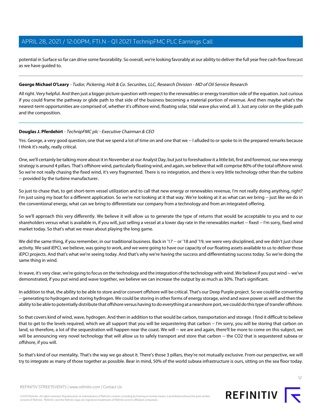potential in Surface so far can drive some favorability. So overall, we're looking favorably at our ability to deliver the full year free cash flow forecast as we have guided to.

# **George Michael O'Leary** - Tudor, Pickering, Holt & Co. Securities, LLC, Research Division - MD of Oil Service Research

All right. Very helpful. And then just a bigger picture question with respect to the renewables or energy transition side of the equation. Just curious if you could frame the pathway or glide path to that side of the business becoming a material portion of revenue. And then maybe what's the nearest-term opportunities are comprised of, whether it's offshore wind, floating solar, tidal wave plus wind, all 3. Just any color on the glide path and the composition.

# **Douglas J. Pferdehirt** - TechnipFMC plc - Executive Chairman & CEO

Yes. George, a very good question, one that we spend a lot of time on and one that we -- I alluded to or spoke to in the prepared remarks because I think it's really, really critical.

One, we'll certainly be talking more about it in November at our Analyst Day, but just to foreshadow it a little bit, first and foremost, our new energy strategy is around 4 pillars. That's offshore wind, particularly floating wind, and again, we believe that will comprise 80% of the total offshore wind. So we're not really chasing the fixed wind, it's very fragmented. There is no integration, and there is very little technology other than the turbine -- provided by the turbine manufacturer.

So just to chase that, to get short-term vessel utilization and to call that new energy or renewables revenue, I'm not really doing anything, right? I'm just using my boat for a different application. So we're not looking at it that way. We're looking at it as what can we bring -- just like we do in the conventional energy, what can we bring to differentiate our company from a technology and from an integrated offering.

So we'll approach this very differently. We believe it will allow us to generate the type of returns that would be acceptable to you and to our shareholders versus what is available in, if you will, just selling a vessel at a lower day rate in the renewables market -- fixed -- I'm sorry, fixed wind market today. So that's what we mean about playing the long game.

We did the same thing, if you remember, in our traditional business. Back in '17 -- or '18 and '19, we were very disciplined, and we didn't just chase activity. We said iEPCI, we believe, was going to work, and we were going to have our capacity of our floating assets available to us to deliver those iEPCI projects. And that's what we're seeing today. And that's why we're having the success and differentiating success today. So we're doing the same thing in wind.

In wave, it's very clear, we're going to focus on the technology and the integration of the technology with wind. We believe if you put wind -- we've demonstrated, if you put wind and wave together, we believe we can increase the output by as much as 30%. That's significant.

In addition to that, the ability to be able to store and/or convert offshore will be critical. That's our Deep Purple project. So we could be converting -- generating to hydrogen and storing hydrogen. We could be storing in other forms of energy storage, wind and wave power as well and then the ability to be able to potentially distribute that offshore versus having to do everything at a nearshore port, we could do this type of transfer offshore.

So that covers kind of wind, wave, hydrogen. And then in addition to that would be carbon, transportation and storage. I find it difficult to believe that to get to the levels required, which we all support that you will be sequestering that carbon -- I'm sorry, you will be storing that carbon on land, so therefore, a lot of the sequestration will happen near the coast. We will -- we are and again, there'll be more to come on this subject, we will be announcing very novel technology that will allow us to safely transport and store that carbon -- the CO2 that is sequestered subsea or offshore, if you will.

So that's kind of our mentality. That's the way we go about it. There's those 3 pillars, they're not mutually exclusive. From our perspective, we will try to integrate as many of those together as possible. Bear in mind, 50% of the world subsea infrastructure is ours, sitting on the sea floor today.

REFINITIV STREETEVENTS | [www.refinitiv.com](https://www.refinitiv.com/) | [Contact Us](https://www.refinitiv.com/en/contact-us)

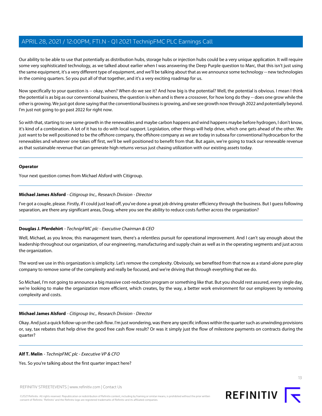Our ability to be able to use that potentially as distribution hubs, storage hubs or injection hubs could be a very unique application. It will require some very sophisticated technology, as we talked about earlier when I was answering the Deep Purple question to Marc, that this isn't just using the same equipment, it's a very different type of equipment, and we'll be talking about that as we announce some technology -- new technologies in the coming quarters. So you put all of that together, and it's a very exciting roadmap for us.

Now specifically to your question is -- okay, when? When do we see it? And how big is the potential? Well, the potential is obvious. I mean I think the potential is as big as our conventional business, the question is when and is there a crossover, for how long do they -- does one grow while the other is growing. We just got done saying that the conventional business is growing, and we see growth now through 2022 and potentially beyond. I'm just not going to go past 2022 for right now.

So with that, starting to see some growth in the renewables and maybe carbon happens and wind happens maybe before hydrogen, I don't know, it's kind of a combination. A lot of it has to do with local support. Legislation, other things will help drive, which one gets ahead of the other. We just want to be well positioned to be the offshore company, the offshore company as we are today in subsea for conventional hydrocarbon for the renewables and whatever one takes off first, we'll be well positioned to benefit from that. But again, we're going to track our renewable revenue as that sustainable revenue that can generate high returns versus just chasing utilization with our existing assets today.

#### **Operator**

<span id="page-12-0"></span>Your next question comes from Michael Alsford with Citigroup.

# **Michael James Alsford** - Citigroup Inc., Research Division - Director

I've got a couple, please. Firstly, if I could just lead off, you've done a great job driving greater efficiency through the business. But I guess following separation, are there any significant areas, Doug, where you see the ability to reduce costs further across the organization?

# **Douglas J. Pferdehirt** - TechnipFMC plc - Executive Chairman & CEO

Well, Michael, as you know, this management team, there's a relentless pursuit for operational improvement. And I can't say enough about the leadership throughout our organization, of our engineering, manufacturing and supply chain as well as in the operating segments and just across the organization.

The word we use in this organization is simplicity. Let's remove the complexity. Obviously, we benefited from that now as a stand-alone pure-play company to remove some of the complexity and really be focused, and we're driving that through everything that we do.

So Michael, I'm not going to announce a big massive cost-reduction program or something like that. But you should rest assured, every single day, we're looking to make the organization more efficient, which creates, by the way, a better work environment for our employees by removing complexity and costs.

# **Michael James Alsford** - Citigroup Inc., Research Division - Director

Okay. And just a quick follow-up on the cash flow. I'm just wondering, was there any specific inflows within the quarter such as unwinding provisions or, say, tax rebates that help drive the good free cash flow result? Or was it simply just the flow of milestone payments on contracts during the quarter?

# **Alf T. Melin** - TechnipFMC plc - Executive VP & CFO

Yes. So you're talking about the first quarter impact here?

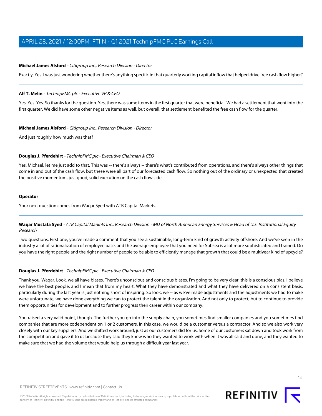### **Michael James Alsford** - Citigroup Inc., Research Division - Director

Exactly. Yes. I was just wondering whether there's anything specific in that quarterly working capital inflow that helped drive free cash flow higher?

#### **Alf T. Melin** - TechnipFMC plc - Executive VP & CFO

Yes. Yes. Yes. So thanks for the question. Yes, there was some items in the first quarter that were beneficial. We had a settlement that went into the first quarter. We did have some other negative items as well, but overall, that settlement benefited the free cash flow for the quarter.

#### **Michael James Alsford** - Citigroup Inc., Research Division - Director

And just roughly how much was that?

#### **Douglas J. Pferdehirt** - TechnipFMC plc - Executive Chairman & CEO

Yes. Michael, let me just add to that. This was -- there's always -- there's what's contributed from operations, and there's always other things that come in and out of the cash flow, but these were all part of our forecasted cash flow. So nothing out of the ordinary or unexpected that created the positive momentum, just good, solid execution on the cash flow side.

#### **Operator**

<span id="page-13-0"></span>Your next question comes from Waqar Syed with ATB Capital Markets.

# **Waqar Mustafa Syed** - ATB Capital Markets Inc., Research Division - MD of North American Energy Services & Head of U.S. Institutional Equity Research

Two questions. First one, you've made a comment that you see a sustainable, long-term kind of growth activity offshore. And we've seen in the industry a lot of rationalization of employee base, and the average employee that you need for Subsea is a lot more sophisticated and trained. Do you have the right people and the right number of people to be able to efficiently manage that growth that could be a multiyear kind of upcycle?

# **Douglas J. Pferdehirt** - TechnipFMC plc - Executive Chairman & CEO

Thank you, Waqar. Look, we all have biases. There's unconscious and conscious biases. I'm going to be very clear, this is a conscious bias. I believe we have the best people, and I mean that from my heart. What they have demonstrated and what they have delivered on a consistent basis, particularly during the last year is just nothing short of inspiring. So look, we -- as we've made adjustments and the adjustments we had to make were unfortunate, we have done everything we can to protect the talent in the organization. And not only to protect, but to continue to provide them opportunities for development and to further progress their career within our company.

You raised a very valid point, though. The further you go into the supply chain, you sometimes find smaller companies and you sometimes find companies that are more codependent on 1 or 2 customers. In this case, we would be a customer versus a contractor. And so we also work very closely with our key suppliers. And we shifted work around, just as our customers did for us. Some of our customers sat down and took work from the competition and gave it to us because they said they knew who they wanted to work with when it was all said and done, and they wanted to make sure that we had the volume that would help us through a difficult year last year.

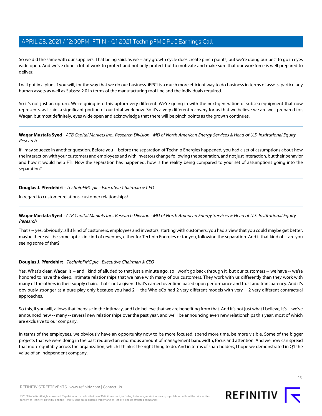So we did the same with our suppliers. That being said, as we -- any growth cycle does create pinch points, but we're doing our best to go in eyes wide open. And we've done a lot of work to protect and not only protect but to motivate and make sure that our workforce is well prepared to deliver.

I will put in a plug, if you will, for the way that we do our business. iEPCI is a much more efficient way to do business in terms of assets, particularly human assets as well as Subsea 2.0 in terms of the manufacturing roof line and the individuals required.

So it's not just an upturn. We're going into this upturn very different. We're going in with the next-generation of subsea equipment that now represents, as I said, a significant portion of our total work now. So it's a very different recovery for us that we believe we are well prepared for, Waqar, but most definitely, eyes wide open and acknowledge that there will be pinch points as the growth continues.

# Waqar Mustafa Syed - ATB Capital Markets Inc., Research Division - MD of North American Energy Services & Head of U.S. Institutional Equity Research

If I may squeeze in another question. Before you -- before the separation of Technip Energies happened, you had a set of assumptions about how the interaction with your customers and employees and with investors change following the separation, and not just interaction, but their behavior and how it would help FTI. Now the separation has happened, how is the reality being compared to your set of assumptions going into the separation?

# **Douglas J. Pferdehirt** - TechnipFMC plc - Executive Chairman & CEO

In regard to customer relations, customer relationships?

# **Waqar Mustafa Syed** - ATB Capital Markets Inc., Research Division - MD of North American Energy Services & Head of U.S. Institutional Equity Research

That's -- yes, obviously, all 3 kind of customers, employees and investors; starting with customers, you had a view that you could maybe get better, maybe there will be some uptick in kind of revenues, either for Technip Energies or for you, following the separation. And if that kind of -- are you seeing some of that?

# **Douglas J. Pferdehirt** - TechnipFMC plc - Executive Chairman & CEO

Yes. What's clear, Waqar, is -- and I kind of alluded to that just a minute ago, so I won't go back through it, but our customers -- we have -- we're honored to have the deep, intimate relationships that we have with many of our customers. They work with us differently than they work with many of the others in their supply chain. That's not a given. That's earned over time based upon performance and trust and transparency. And it's obviously stronger as a pure-play only because you had 2 -- the WholeCo had 2 very different models with very -- 2 very different contractual approaches.

So this, if you will, allows that increase in the intimacy, and I do believe that we are benefiting from that. And it's not just what I believe, it's -- we've announced new -- many -- several new relationships over the past year, and we'll be announcing even new relationships this year, most of which are exclusive to our company.

In terms of the employees, we obviously have an opportunity now to be more focused, spend more time, be more visible. Some of the bigger projects that we were doing in the past required an enormous amount of management bandwidth, focus and attention. And we now can spread that more equitably across the organization, which I think is the right thing to do. And in terms of shareholders, I hope we demonstrated in Q1 the value of an independent company.

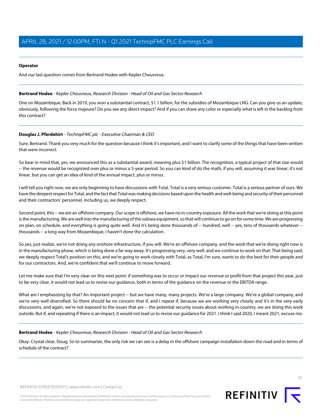### **Operator**

<span id="page-15-0"></span>And our last question comes from Bertrand Hodee with Kepler Cheuvreux.

#### **Bertrand Hodee** - Kepler Cheuvreux, Research Division - Head of Oil and Gas Sector Research

One on Mozambique. Back in 2019, you won a substantial contract, \$1.1 billion, for the subsidies of Mozambique LNG. Can you give us an update, obviously, following the force majeure? Do you see any direct impact? And if you can share any color or especially what is left in the backlog from this contract?

# **Douglas J. Pferdehirt** - TechnipFMC plc - Executive Chairman & CEO

Sure, Bertrand. Thank you very much for the question because I think it's important, and I want to clarify some of the things that have been written that were incorrect.

So bear in mind that, yes, we announced this as a substantial award, meaning plus \$1 billion. The recognition, a typical project of that size would -- the revenue would be recognized over plus or minus a 5-year period. So you can kind of do the math, if you will, assuming it was linear, it's not linear, but you can get an idea of kind of the annual impact, plus or minus.

I will tell you right now, we are only beginning to have discussions with Total. Total is a very serious customer. Total is a serious partner of ours. We have the deepest respect for Total, and the fact that Total was making decisions based upon the health and well-being and security of their personnel and their contractors' personnel, including us, we deeply respect.

Second point, this -- we are an offshore company. Our scope is offshore, we have no in-country exposure. All the work that we're doing at this point is the manufacturing. We are well into the manufacturing of the subsea equipment, so that will continue to go on for some time. We are progressing on plan, on schedule, and everything is going quite well. And it's being done thousands of -- hundred, well -- yes, tens of thousands whatever -thousands -- a long way from Mozambique, I haven't done the calculation.

So yes, just realize, we're not doing any onshore infrastructure, if you will. We're an offshore company, and the work that we're doing right now is in the manufacturing phase, which is being done a far way away. It's progressing very, very well, and we continue to work on that. That being said, we deeply respect Total's position on this, and we're going to work closely with Total, as Total, I'm sure, wants to do the best for their people and for our contractors. And, we're confident that we'll continue to move forward.

Let me make sure that I'm very clear on this next point: if something was to occur or impact our revenue or profit from that project this year, just to be very clear, it would not lead us to revise our guidance, both in terms of the guidance on the revenue or the EBITDA range.

What am I emphasizing by that? An important project -- but we have many, many projects. We're a large company. We're a global company, and we're very well diversified. So there should be no concern that if, and I repeat if, because we are working very closely and it's in the very early discussions, and again, we're not exposed to the issues that are -- the potential security issues about working in-country, we are doing this work outside. But if, and repeating if there is an impact, it would not lead us to revise our guidance for 2021. I think I said 2020, I meant 2021, excuse me.

# **Bertrand Hodee** - Kepler Cheuvreux, Research Division - Head of Oil and Gas Sector Research

Okay. Crystal clear, Doug. So to summarize, the only risk we can see is a delay in the offshore campaign installation down the road and in terms of schedule of the contract?

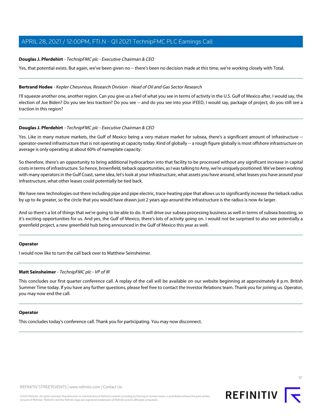### **Douglas J. Pferdehirt** - TechnipFMC plc - Executive Chairman & CEO

Yes, that potential exists. But again, we've been given no -- there's been no decision made at this time, we're working closely with Total.

#### **Bertrand Hodee** - Kepler Cheuvreux, Research Division - Head of Oil and Gas Sector Research

I'll squeeze another one, another region. Can you give us a feel of what you see in terms of activity in the U.S. Gulf of Mexico after, I would say, the election of Joe Biden? Do you see less traction? Do you see -- and do you see into your iFEED, I would say, package of project, do you still see a traction in this region?

#### **Douglas J. Pferdehirt** - TechnipFMC plc - Executive Chairman & CEO

Yes. Like in many mature markets, the Gulf of Mexico being a very mature market for subsea, there's a significant amount of infrastructure - operator-owned infrastructure that is not operating at capacity today. Kind of globally -- a rough figure globally is most offshore infrastructure on average is only operating at about 60% of nameplate capacity.

So therefore, there's an opportunity to bring additional hydrocarbon into that facility to be processed without any significant increase in capital costs in terms of infrastructure. So hence, brownfield, tieback opportunities, as I was talking to Amy, we're uniquely positioned. We've been working with many operators in the Gulf Coast, same idea, let's look at your infrastructure, what assets you have around, what leases you have around your infrastructure, what other leases could potentially be tied back.

We have new technologies out there including pipe and pipe electric, trace-heating pipe that allows us to significantly increase the tieback radius by up to 4x greater, so the circle that you would have drawn just 2 years ago around the infrastructure is the radius is now 4x larger.

And so there's a lot of things that we're going to be able to do. It will drive our subsea processing business as well in terms of subsea boosting, so it's exciting opportunities for us. And yes, the Gulf of Mexico, there's lots of activity going on. I would not be surprised to also see potentially a greenfield project, a new greenfield hub being announced in the Gulf of Mexico this year as well.

#### **Operator**

I would now like to turn the call back over to Matthew Seinsheimer.

#### **Matt Seinsheimer** - TechnipFMC plc - VP of IR

This concludes our first quarter conference call. A replay of the call will be available on our website beginning at approximately 8 p.m. British Summer Time today. If you have any further questions, please feel free to contact the Investor Relations team. Thank you for joining us. Operator, you may now end the call.

#### **Operator**

This concludes today's conference call. Thank you for participating. You may now disconnect.